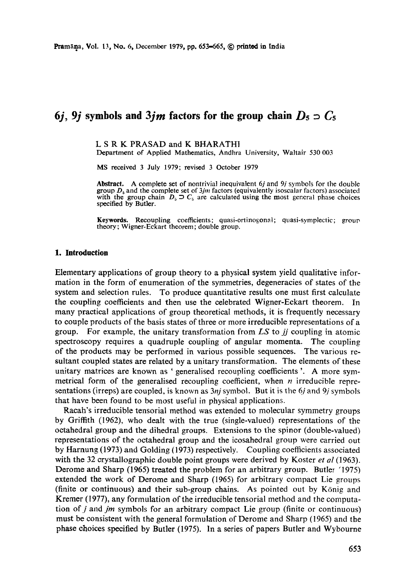# **6j, 9j symbols and 3jm factors for the group chain**  $D_5 \supset C_5$

L S R K PRASAD and K BHARATHI

Department of Applied Mathematics, Andhra University, Waltair 530 003

MS received 3 July 1979; revised 3 October 1979

**Abstract.** A complete set of nontrivial inequivalent 6j and 9j symbols for the double group  $D_5$  and the complete set of  $3jm$  factors (equivalently isoscalar factors) associated with the group chain  $D_5 \supset C_5$  are calculated using the most general phase choices specified by Butler.

**Keywords.** Recoupling coefficients; quasi-ortinogonal; quasi-symplectic; group theory; Wigner-Eekart theorem; double group.

## **1. Introduction**

Elementary applications of group theory to a physical system yield qualitative information in the form of enumeration of the symmetries, degeneracies of states of the system and selection rules. To produce quantitative results one must first calculate the coupling coefficients and then use the celebrated Wigner-Eckart theorem. In many practical applications of group theoretical methods, it is frequently necessary to couple products of the basis states of three or more irreducible representations of a group. For example, the unitary transformation from *LS* to *jj* coupling in atomic spectroscopy requires a quadruple coupling of angular momenta. The coupling of the products may be performed in various possible sequences. The various resultant coupled states are related by a unitary transformation. The elements of these unitary matrices are known as ' generalised recoupling coefficients '. A more symmetrical form of the generalised recoupling coefficient, when  $n$  irreducible representations (irreps) are coupled, is known as 3nj symbol. But it is the 6j and 9j symbols that have been found to be most useful in physical applications.

Racah's irreducible tensorial method was extended to molecular symmetry groups by Griffith (1962), who dealt with the true (single-valued) representations of the oetahedrat group and the dihedral groups. Extensions to the spinor (double-valued) representations of the octahedral group and the icosahedral group were carried out by Harnung (1973) and Golding (1973) respectively. Coupling coefficients associated with the 32 crystallographic double point groups were derived by Koster *et al* (1963). Derome and Sharp (1965) treated the problem for an arbitrary group. Butler (1975) extended the work of Derome and Sharp (1965) for arbitrary compact Lie groups (finite or continuous) and their sub-group chains. As pointed out by K6nig and Kremer (1977), any formulation of the irreducible tensorial method and the computation of *j* and *jm* symbols for an arbitrary compact Lie group (finite or continuous) must be consistent with the general formulation of Derome and Sharp (1965) and the phase choices specified by Butler (1975). In a series of papers Butler and Wybourne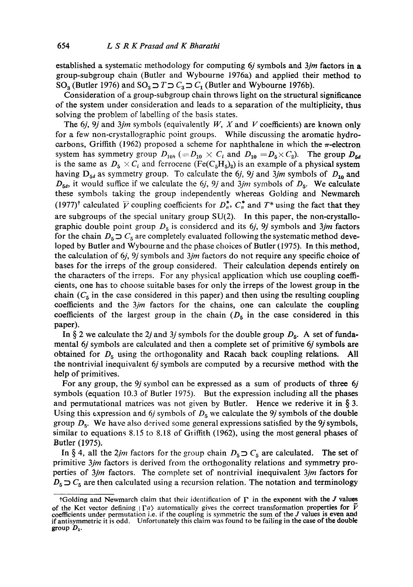established a systematic methodology for computing 6j symbols and *3jm* factors in a group-subgroup chain (Butler and Wybourne 1976a) and applied their method to SO<sub>3</sub> (Butler 1976) and SO<sub>3</sub>  $\supset T \supset C_3 \supset C_1$  (Butler and Wybourne 1976b).

Consideration of a group-subgroup chain throws light on the structural significance of the system under consideration and leads to a separation of the multiplicity, thus solving the problem of labelling of the basis states.

The  $6j$ ,  $9j$  and  $3jm$  symbols (equivalently  $W$ ,  $X$  and  $V$  coefficients) are known only for a few non-crystallographic point groups. While discussing the aromatic hydrocarbons, Griffith (1962) proposed a scheme for naphthalene in which the  $\pi$ -electron system has symmetry group  $D_{10<sub>n</sub>} (= D_{10} \times C_{i}$  and  $D_{10} = D_{5} \times C_{2}$ . The group  $D_{5d}$ is the same as  $D_5 \times C_i$  and ferrocene (Fe(C<sub>5</sub>H<sub>5</sub>)<sub>2</sub>) is an example of a physical system having  $D_{5d}$  as symmetry group. To calculate the 6*j*, 9*j* and 3*jm* symbols of  $D_{10}$  and  $D_{5d}$ , it would suffice if we calculate the 6j, 9j and 3jm symbols of  $D_5$ . We calculate these symbols taking the group independently whereas Golding and Newmareh (1977)<sup>†</sup> calculated  $\bar{V}$  coupling coefficients for  $D_n^*$ ,  $C_n^*$  and  $T^*$  using the fact that they are subgroups of the special unitary group SU(2). In this paper, the non-crystallographic double point group  $D_5$  is considered and its 6*j*, 9*j* symbols and 3*jm* factors for the chain  $D_5 \supset C_5$  are completely evaluated following the systematic method developed by Butler and Wybourne and thc phase choices of Butler (1975). In this method, the calculation of 6*j*, 9*j* symbols and 3*jm* factors do not require any specific choice of bases for the irreps of the group considered. Their calculation depends entirely on the characters of the irreps. For any physical application which use coupling coefficients, one has to choose suitable bases for only the irreps of the lowest group in the chain  $(C_5$  in the case considered in this paper) and then using the resulting coupling coefficients and the *3jm* factors for the chains, one can calculate the coupling coefficients of the largest group in the chain  $(D_5$  in the case considered in this paper).

In § 2 we calculate the 2*j* and 3*j* symbols for the double group  $D_5$ . A set of fundamental 6j symbols are calculated and then a complete set of primitive 6j symbols are obtained for  $D<sub>5</sub>$  using the orthogonality and Racah back coupling relations. All the nontrivial inequivalent 6j symbols are computed by a recursive method with the help of primitives.

For any group, the *9j* symbol can be expressed as a sum of products of three 6j symbols (equation 10.3 of Butler 1975). But the expression including all the phases and permutational matrices was not given by Butler. Hence we rederive it in  $\S$  3. Using this expression and 6*j* symbols of  $D_5$  we calculate the 9*j* symbols of the double group  $D_5$ . We have also derived some general expressions satisfied by the  $9j$  symbols, similar to equations 8.15 to 8.18 of Griffith (1962), using the most general phases of Butler (1975).

In § 4, all the 2jm factors for the group chain  $D_5 \supset C_5$  are calculated. The set of primitive *3jm* factors is derived from the orthogonality relations and symmetry properties of *3jm* factors. The complete set of nontrivial inequivalent *3jm* factors for  $D_5$   $\supset C_5$  are then calculated using a recursion relation. The notation and terminology

tGolding and Newmarch claim that their identification of  $\Gamma$  in the exponent with the J values of the Ket vector defining  $|\Gamma_a\rangle$  automatically gives the correct transformation properties for  $\tilde{V}$ coefficients under permutation i.e. if the coupling is symmetric the sum of the J values is even and if antisymmetric it is odd. Unfortunately this claim was found to be failing in the case of the double **group Ds.**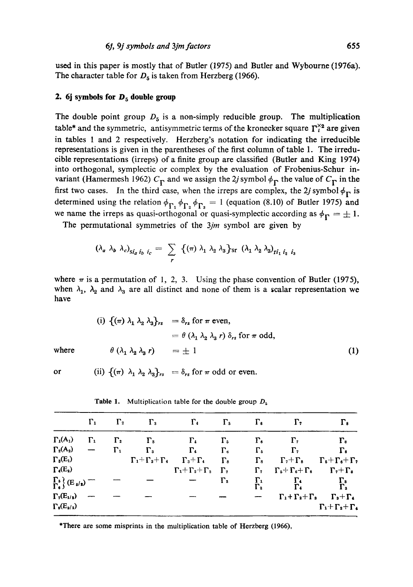used in this paper is mostly that of Butler (1975) and Butler and Wybourne (1976a). The character table for  $D_5$  is taken from Herzberg (1966).

## **2.** 6j symbols for  $D_5$  double group

The double point group  $D_5$  is a non-simply reducible group. The multiplication table\* and the symmetric, antisymmetric terms of the kronecker square  $\Gamma_i^{\times}$  are given in tables 1 and 2 respectively. Herzberg's notation for indicating the irreducible representations is given in the parentheses of the first column of table 1. The irreducible representations (irreps) of a finite group are classified (Butler and King 1974) into orthogonal, symplectic or complex by the evaluation of Frobenius-Sehur invariant (Hamermesh 1962)  $C_{\Gamma}$  and we assign the 2*j* symbol  $\phi_{\Gamma}$  the value of  $C_{\Gamma}$  in the first two cases. In the third case, when the irreps are complex, the 2j symbol  $\phi_{\Gamma}$  is determined using the relation  $\phi_{\Gamma_1}$   $\phi_{\Gamma_2}$   $\phi_{\Gamma_3}$  = 1 (equation (8.10) of Butler 1975) and we name the irreps as quasi-orthogonal or quasi-symplectic according as  $\phi_{\Gamma} = \pm 1$ .

The permutational symmetries of the *3jm* symbol are given by

$$
(\lambda_a \lambda_b \lambda_c)_{\dot{sl}_a i_b i_c} = \sum_r \{ (\pi) \lambda_1 \lambda_2 \lambda_3 \}_{sr} (\lambda_1 \lambda_2 \lambda_3)_{r i_1 i_2 i_3}
$$

where  $\pi$  is a permutation of 1, 2, 3. Using the phase convention of Butler (1975), when  $\lambda_1$ ,  $\lambda_2$  and  $\lambda_3$  are all distinct and none of them is a scalar representation we have

(i) 
$$
\{ (\pi) \lambda_1 \lambda_2 \lambda_3 \}_{rs} = \delta_{rs}
$$
 for  $\pi$  even,  
\n
$$
= \theta (\lambda_1 \lambda_2 \lambda_3 r) \delta_{rs}
$$
 for  $\pi$  odd,  
\nwhere  
\n
$$
\theta (\lambda_1 \lambda_2 \lambda_3 r) = \pm 1
$$
 (1)

or (ii)  $\{(\pi) \lambda_1 \lambda_2 \lambda_3\}_{rs} = \delta_{rs}$  for  $\pi$  odd or even.

|                                          | $\Gamma_1$ | $\Gamma_{2}$ | $\Gamma_{3}$                                           | $\Gamma_4$ $\Gamma_5$                       |                   | $\Gamma_{\rm s}$   | $\Gamma$                                               | $\Gamma_{s}$                                                        |
|------------------------------------------|------------|--------------|--------------------------------------------------------|---------------------------------------------|-------------------|--------------------|--------------------------------------------------------|---------------------------------------------------------------------|
| $\Gamma_1(A_1)$                          | $\Gamma_1$ | $\Gamma_{2}$ | $\Gamma_{\rm s}$                                       | $\Gamma_4$                                  | $\Gamma_5$        | $\Gamma_{\bullet}$ | $\Gamma_7$                                             | $\Gamma_{3}$                                                        |
| $\Gamma_2(A_2)$                          |            | $\Gamma_1$   | $\Gamma_{\rm s}$                                       | $\Gamma_4$                                  | $\Gamma_{\alpha}$ | $\Gamma_5$         | $\Gamma_{7}$                                           | $\Gamma_{s}$                                                        |
| $\Gamma_{3}(E_{1})$                      |            |              | $\Gamma_1 + \Gamma_2 + \Gamma_4$ $\Gamma_3 + \Gamma_4$ |                                             | $\Gamma_{s}$      | $\Gamma_{\rm s}$   | $\Gamma$ <sub>2</sub> + $\Gamma$ <sub>8</sub>          | $\Gamma_{\mathfrak{s}}+\Gamma_{\mathfrak{s}}+\Gamma_{\mathfrak{r}}$ |
| $\Gamma_4(E_2)$                          |            |              |                                                        | $\Gamma_1 + \Gamma_2 + \Gamma_3$ $\Gamma_7$ |                   | $\Gamma_{7}$       | $\Gamma_5 + \Gamma_6 + \Gamma_8$ $\Gamma_7 + \Gamma_8$ |                                                                     |
| $\Gamma_{\rm s}$ } (E <sub>5/s</sub> ) — |            |              |                                                        |                                             | $\Gamma_{2}$      | $\Gamma_{1}$       | $\Gamma_1$                                             | $\Gamma_{\rm s}$                                                    |
| $\Gamma_7(E_{1/2})$                      |            |              |                                                        |                                             |                   |                    | $\Gamma_1 + \Gamma_2 + \Gamma_3$                       | $\Gamma_{3}+\Gamma_{4}$                                             |
| $\Gamma_{s}(E_{a/2})$                    |            |              |                                                        |                                             |                   |                    |                                                        | $\Gamma_1+\Gamma_2+\Gamma_4$                                        |

Table 1. Multiplication table for the double group  $D_5$ 

\*There are some misprints in the multiplication table of Herzberg (1966),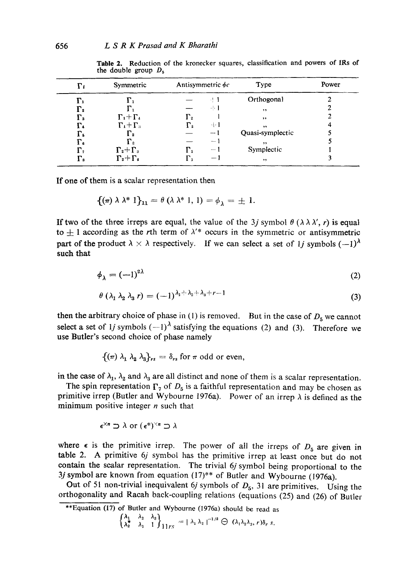| Fι               | Symmetric             |              | Antisymmetric $\phi_c$   | Type                 | Power |
|------------------|-----------------------|--------------|--------------------------|----------------------|-------|
| $\Gamma_1$       | г.                    |              | -! 1                     | Orthogonal           |       |
| $\Gamma_2$       | г.                    |              | -51                      | $\ddot{\phantom{1}}$ |       |
| г.               | $\Gamma_1 + \Gamma_4$ | $\Gamma_{2}$ |                          | , ,                  |       |
| г.               | $\Gamma_4 + \Gamma_3$ | $\Gamma_{2}$ | -4- 1                    | , ,                  |       |
| Г.               | $\Gamma_{2}$          |              | $- -$                    | Quasi-symplectic     |       |
| г.               | $\Gamma_{2}$          |              | $\overline{\phantom{a}}$ | , ,                  |       |
| г,               | $\Gamma_2 + \Gamma_3$ | г.           | — 1                      | Symplectic           |       |
| $\Gamma_{\rm s}$ | $\Gamma_2+\Gamma_4$   |              | $-$                      | , ,                  |       |

Table 2, Reduction of the kronecker squares, classification and powers of IRs of the double group  $D_5$ 

If one of them is a scalar representation then

$$
\{(\pi)\lambda\lambda^*\,1\}_{11}=\theta\,(\lambda\lambda^*\,1,\,1)=\phi_{\lambda}=\pm\,1.
$$

If two of the three irreps are equal, the value of the 3j symbol  $\theta$  ( $\lambda \lambda \lambda'$ , r) is equal to  $+1$  according as the rth term of  $\lambda^*$  occurs in the symmetric or antisymmetric part of the product  $\lambda \times \lambda$  respectively. If we can select a set of 1*j* symbols  $(-1)^{\lambda}$ such that

$$
\phi_{\lambda} = (-1)^{2\lambda}
$$
\n
$$
\theta (\lambda_1 \lambda_2 \lambda_3 r) = (-1)^{\lambda_1 + \lambda_2 + \lambda_3 + r - 1}
$$
\n(3)

then the arbitrary choice of phase in (1) is removed. But in the case of  $D_5$  we cannot select a set of 1*j* symbols  $(-1)^{\lambda}$  satisfying the equations (2) and (3). Therefore we use Butler's second choice of phase namely

 $\{\left(\pi\right) \lambda_1 \lambda_2 \lambda_3\}_{rs} = \delta_{rs}$  for  $\pi$  odd or even,

in the case of  $\lambda_1$ ,  $\lambda_2$  and  $\lambda_3$  are all distinct and none of them is a scalar representation.

The spin representation  $\Gamma_7$  of  $D_5$  is a faithful representation and may be chosen as primitive irrep (Butler and Wybourne 1976a). Power of an irrep  $\lambda$  is defined as the minimum positive integer  $n$  such that

$$
\epsilon^{\times n} \supset \lambda \text{ or } (\epsilon^*)^{\times n} \supset \lambda
$$

where  $\epsilon$  is the primitive irrep. The power of all the irreps of  $D_5$  are given in table 2. A primitive 6j symbol has the primitive irrep at least once but do not contain the scalar representation. The trivial 6j symbol being proportional to the 3*j* symbol are known from equation  $(17)$ <sup>\*\*</sup> of Butler and Wybourne (1976a).

Out of 51 non-trivial inequivalent 6j symbols of  $D_5$ , 31 are primitives. Using the orthogonality and Racah back-coupling relations (equations (25) and (26) of Butler

$$
\begin{Bmatrix} \lambda_1 & \lambda_2 & \lambda_3 \\ \lambda_2^* & \lambda_1 & 1 \end{Bmatrix} 11rs = |\lambda_1 \lambda_2|^{-1/2} \bigoplus (\lambda_1 \lambda_2 \lambda_3, r) \delta_r s.
$$

<sup>\*\*</sup>Equation (17) of Butler and Wybourne (1976a) should be read as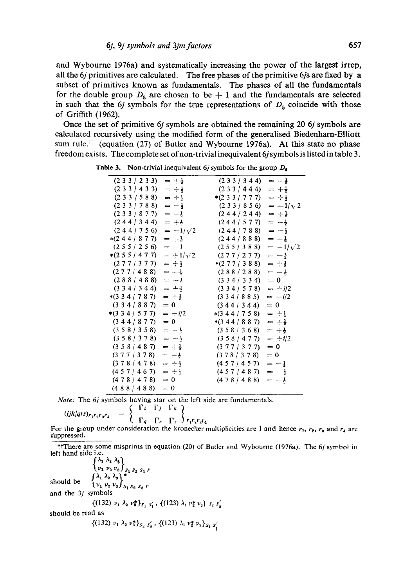and Wybourne 1976a) and systematically increasing the power of the largest irrep, all the  $6j$  primitives are calculated. The free phases of the primitive  $6j$ s are fixed by a subset of primitives known as fundamentals. The phases of all the fundamentals for the double group  $D_5$  are chosen to be  $+ 1$  and the fundamentals are selected in such that the 6j symbols for the true representations of  $D_5$  coincide with those of Griffith (1962).

Once the set of primitive 6j symbols are obtained the remaining 20 6j symbols are calculated recursively using the modified form of the generalised Biedenharn-Elliott sum rule.<sup> $\dagger \text{t}$ </sup> (equation (27) of Butler and Wybourne 1976a). At this state no phase freedom exists. The complete set of non-trivial inequivalent 6j symbols is listed in table 3.

| (233/233)                | $= +\frac{1}{2}$  | (233/344)               | $=-\frac{1}{2}$  |
|--------------------------|-------------------|-------------------------|------------------|
| (233/433)                | $= +$             | (233/444)               | $= +1$           |
| (233/588)                | $= +\frac{1}{2}$  | $*(233/777)$            | $= +\frac{1}{2}$ |
| (233/788)                | $=-\frac{1}{2}$   | (233/856)               | $=-1/\sqrt{2}$   |
| (233/877)                | $= -\frac{1}{2}$  | (244/244)               | $= +$            |
| (244/344)                | $= ++$            | (244/577)               | $= -\frac{1}{2}$ |
| (244/756)                | $=-1/\sqrt{2}$    | (244/788)               | $= -\frac{1}{2}$ |
| $*(244/877)$             | $= +\frac{1}{2}$  | (244/888)               | $= +\frac{1}{2}$ |
| (255/256)                | $=-1$             | (255/388)               | $=-1/\sqrt{2}$   |
| $*(255/477)$             | $=$ $+1/\sqrt{2}$ | (277/277)               | $=-\frac{1}{2}$  |
| (277/377)                | $= +1$            | $*(277/388)$            | $= +1$           |
| (277/488)                | $=-\frac{1}{3}$   | (288/288)               | $=-\frac{1}{2}$  |
| (288/488)                | $= -1$            | (334/334)               | $= 0$            |
| (334/344)                | $= +\frac{1}{3}$  | $(3\;3\;4\;7\;5\;7\;8)$ | $= -i/2$         |
| $*(334/787)$             | $= +\frac{1}{2}$  | (334/885)               | $= +i/2$         |
| (334/887)                | $= 0$             | (344/344)               | $= 0$            |
| $*(3\;3\;4\; \;5\;7\;7)$ | $= +i/2$          | $*(344/758)$            | $= +\frac{1}{2}$ |
| (344/877)                | $= 0$             | $*(344/887)$            | $= +\frac{1}{2}$ |
| (358/358)                | $= -1$            | (358/368)               | $= +\frac{1}{2}$ |
| (358/378)                | $= -\frac{1}{3}$  | (358/477)               | $= +i/2$         |
| (358/487)                | $= +\frac{1}{2}$  | (377/377)               | $= 0$            |
| (377/378)                | $=-\frac{1}{2}$   | (378/378)               | $= 0$            |
| (378/478)                | $= -1$            | (457/457)               | $=-\frac{1}{2}$  |
| (457/467)                | $= +1$            | (457/487)               | $=-\frac{1}{2}$  |
| (478/478)                | $= 0$             | (478/488)               | $=-\frac{1}{3}$  |
| (488/488)                | $= 0$             |                         |                  |
|                          |                   |                         |                  |

Table 3. Non-trivial inequivalent 6*j* symbols for the group  $D_6$ 

*Note:* The 6*j* symbols having star on the left side are fundamentals.

$$
(ijklqrs)_{r_1r_2r_3r_4} = \begin{cases} \Gamma t & \Gamma j & \Gamma k \\ \Gamma_a & \Gamma_r & \Gamma_s \end{cases} f_1r_2r_3r_4
$$

For the group under consideration the kronecker multiplicities are 1 and hence  $r_1$ ,  $r_2$ ,  $r_3$  and  $r_4$  are suppressed.

ttThere are some misprints in equation (20) of Butler and Wybourne (1976a). The 6j symbol in left hand side i.e.<br> $\int \lambda_1 \lambda_2 \lambda_3$ 

 $\frac{\int \nu_1 \nu_2 \nu_3 \int_{S_1 S_2 S_3 r}}{\int \lambda_1 \lambda_2 \lambda_3}$ should be  $\begin{Bmatrix} 1 & 1 & 2 & 3 \\ v_1 & v_2 & v_3 \end{Bmatrix}_{S_1 S_2 S_3 r}$ and the  $3j$  symbols  $\{(132) \; \nu_1 \; \lambda_2 \; \nu_3^* \}_{S_1 \; S_1'}$ ,  $\{(123) \; \lambda_1 \; \nu_2^* \; \nu_3 \} \; s_2 \; s_3'$ should be read as  $\{(132) \nu_1 \lambda_2 \nu_3^* \}_{S_2 S_2}$ ,  $\{(123) \lambda_1 \nu_2^* \nu_3 \}_{S_1 S_1}$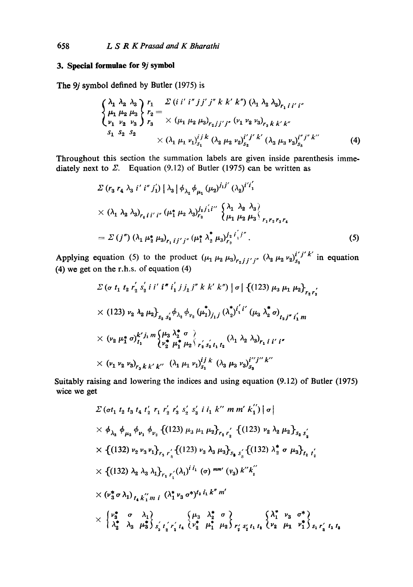## **3. Special formulae for 9j symbol**

The 9*j* symbol defined by Butler (1975) is

$$
\begin{cases}\n\lambda_1 & \lambda_2 & \lambda_3 \\
\mu_1 & \mu_2 & \mu_3 \\
\nu_1 & \nu_2 & \nu_3\n\end{cases}\n\begin{cases}\nr_1 & \text{if } i' \text{ if } j' \text{ if } k \text{ k'} \text{ k''}\n\end{cases}\n(\lambda_1 & \lambda_2 & \lambda_3\n\end{cases}\n\begin{cases}\n\lambda_1 & \mu_1 \mu_2 & \mu_3 \\
\mu_2 & \nu_3\n\end{cases}\n\begin{cases}\nr_1 = \lambda_1 \\
\lambda_2 = \lambda_3\n\end{cases}\n\begin{cases}\n\lambda_1 & \mu_1 \mu_2 \mu_3\n\end{cases}\n\begin{cases}\n\lambda_1 & \mu_2 \mu_3\n\end{cases}\n\begin{cases}\n\lambda_1 & \nu_1 \text{ if } i' \text{ k'} \text{ (}i_1 \text{ } \mu_2 = \mu_3\n\end{cases}\n\begin{cases}\n\lambda_1 & \nu_1 \text{ if } i' \text{ k'} \text{ (}i_2 \text{ } \mu_2 = \mu_3\n\end{cases}\n\begin{cases}\n\lambda_1 & \nu_1 \text{ if } i' \text{ k'} \text{ (}i_3 \text{ } \mu_3 = \mu_3\n\end{cases}\n\begin{cases}\n\lambda_1 & \nu_1 \text{ if } i' \text{ k'} \text{ (}i_3 \text{ } \mu_3 = \mu_3\n\end{cases}\n\begin{cases}\n\lambda_1 & \nu_1 \text{ if } i' \text{ k'} \text{ (}i_3 \text{ } \mu_3 = \mu_3\n\end{cases}\n\begin{cases}\n\lambda_1 & \nu_1 \text{ if } i' \text{ k'} \text{ (}i_3 \text{ } \mu_3 = \mu_3\n\end{cases}\n\begin{cases}\n\lambda_1 & \nu_1 \text{ if } i' \text{ k'} \text{ (}i_3 \text{ } \mu_3 = \mu_3\n\end{cases}\n\begin{cases}\n\lambda_1 & \nu_1 \text{ if } i' \text{ k'} \text{ (}i_3 \text{ } \mu_3 = \mu_3\n\end{cases}\n\begin{cases}\n\lambda_1 & \nu_1 \text{ if } i' \text{ k'} \text{ (}i_3 \text{ } \mu_3 = \mu_3\n\end{cases}\n\begin{cases}\n\lambda_1 & \nu
$$

Throughout this section the summation labels are given inside parenthesis immediately next to  $\Sigma$ . Equation (9.12) of Butler (1975) can be written as

$$
\Sigma (r_3 r_4 \lambda_3 i' i'' j_1') |\lambda_3| \phi_{\lambda_2} \phi_{\mu_1} (\mu_2)^{j_1 j'} (\lambda_2)^{i' i_1'}
$$
  
 
$$
\times (\lambda_1 \lambda_2 \lambda_3)_{r_4 i i' i''} (\mu_1^* \mu_2 \lambda_3)^{j_2 j_1' i''} {\lambda_1 \lambda_2 \lambda_3 \choose \mu_1 \mu_2 \mu_3}_{r_1 r_2 r_3 r_4}
$$
  
=  $\Sigma (j'') (\lambda_1 \mu_2^* \mu_3)_{r_1 i j' j''} (\mu_1^* \lambda_2^* \mu_3)^{j_2 i_1' j''}$ . (5)

Applying equation (5) to the product  $(\mu_1 \mu_2 \mu_3)_{r_2 j j' j''}$   $(\lambda_2 \mu_2 \nu_2)_{s_2}^{i' j' k'}$  in equation (4) we get on the r.h.s, of equation (4)

$$
\Sigma \left(\sigma \ t_1 \ t_2 \ r_2' \ s_2' \ i \ i' \ i'' \ i_1' \ j j_1 \ j'' \ k \ k' \ k' \right) \left|\sigma\right| \left\{ (123) \ \mu_3 \ \mu_1 \ \mu_2 \right\}_{r_2 r_2'}
$$
\n
$$
\times \left(123\right) \nu_2 \ \lambda_2 \ \mu_2 \right\}_{s_2 \ s_2'} \phi_{\lambda_2} \ \phi_{\nu_2} \left(\mu_1^* \right)_{j_1 j} \left(\lambda_2^* \right)^{i_1' i'} \left(\mu_3 \ \lambda_2^* \ \sigma\right)_{t_2 j'' \ i_1' m}
$$
\n
$$
\times \left(\nu_2 \ \mu_1^* \ \sigma\right)_{t_1}^{k' j_1 m} \left\{\mu_3 \ \lambda_2^* \ \sigma \ \right\}_{r_2 \ s_2 \ t_1 \ t_2} \left(\lambda_1 \ \lambda_2 \ \lambda_3\right)_{r_1 \ i \ i'} \ i''
$$
\n
$$
\times \left(\nu_1 \ \nu_2 \ \nu_3\right)_{r_3 \ k \ k' \ k''} \left(\lambda_1 \ \mu_1 \ \nu_1\right)_{s_1}^{i j \ k} \ \left(\lambda_3 \ \mu_3 \ \nu_3\right)_{s_3}^{i'' j'' k''}
$$

Suitably raising and lowering the indices and using equation (9.12) of Butler **(1975) wiee we** get

$$
\Sigma \left(\sigma t_1 t_2 t_3 t_4 t'_2 r_1 r'_2 r'_3 s'_2 s'_3 i i_1 k'' m m' k_1'' \right) |\sigma|
$$
\n
$$
\times \phi_{\lambda_2} \phi_{\mu_3} \phi_{\nu_1} \phi_{\nu_2} \left\{ (123) \mu_3 \mu_1 \mu_2 \right\}_{r_2 r'_2} \left\{ (123) \nu_2 \lambda_2 \mu_2 \right\}_{s_2 s'_2}
$$
\n
$$
\times \left\{ (132) \nu_2 \nu_3 \nu_1 \right\}_{r_3 r'_3} \left\{ (123) \nu_3 \lambda_3 \mu_3 \right\}_{s_{\mathfrak{g}}} \left\{ (132) \lambda_2^* \sigma \mu_3 \right\}_{r_2 r'_2}
$$
\n
$$
\times \left\{ (132) \lambda_2 \lambda_3 \lambda_1 \right\}_{r_1 r'_1} (\lambda_1)^{i_1 i_1} (\sigma) \min' (v_3) k'' k_1''
$$
\n
$$
\times (\nu_3^* \sigma \lambda_1)_{t_4} k_1'' m i \left( \lambda_1^* \nu_3 \sigma^* \right)^{t_3} i_1 k'' m'
$$
\n
$$
\times \left\{ \nu_3^* \sigma \lambda_1 \right\}_{r_4} k_1'' m i \left( \lambda_1^* \nu_3 \sigma^* \right)^{t_3} i_1 k'' m'
$$
\n
$$
\times \left\{ \nu_3^* \sigma \lambda_1 \right\}_{r_4} k_1'' m i \left( \nu_3 \lambda_2^* \sigma \right) \left\{ \lambda_1^* \nu_3 \sigma^* \right\}_{r_4' r_4} \left\{ \nu_2 \mu_1 \nu_1^* \right\}_{s_1 r'_3} t_1 t_3
$$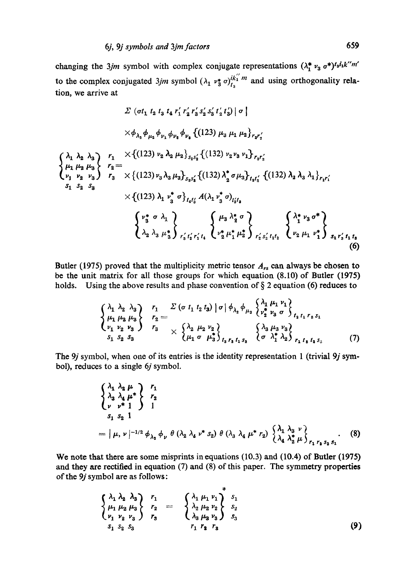changing the 3jm symbol with complex conjugate representations  $(\lambda_1^* v_3 \sigma^*)^{t_3 i_1 k'' m'}$ to the complex conjugated 3jm symbol  $(\lambda_1 v_3^* \sigma)_{t_3}^{ik_1^{\prime\prime}m}$  and using orthogonality relation, we arrive at

$$
\Sigma \left( \sigma t_1 t_2 t_3 t_4 r'_1 r'_2 r'_3 s'_2 s'_3 t'_2 t'_3 \right) | \sigma |
$$
\n
$$
\times \phi_{\lambda_2} \phi_{\mu_2} \phi_{\nu_1} \phi_{\nu_2} \phi_{\nu_3} \left\{ (123) \mu_3 \mu_1 \mu_2 \right\}_{r_3 r'_3}
$$
\n
$$
\begin{cases} \n\lambda_1 \lambda_2 \lambda_3 \\
\mu_1 \mu_2 \mu_3 \\
\mu_2 \nu_3 \end{cases} \begin{cases} \nr_1 \times \left\{ (123) \nu_2 \lambda_2 \mu_2 \right\}_{s_2 s'_2} \left\{ (132) \nu_2 \nu_3 \nu_1 \right\}_{r_3 r'_3} \\ \nr_2 = \\ \nr_1 \nu_2 \nu_3 \end{cases} \begin{cases} \nr_2 \times \left\{ (123) \nu_3 \lambda_3 \mu_3 \right\}_{s_3 s'_3} \left\{ (132) \lambda_2^* \sigma \mu_3 \right\}_{t_4 t'_2} \left\{ (132) \lambda_2 \lambda_3 \lambda_1 \right\}_{r_1 r'_1} \\ \ns_1 \ s_2 \ s_3 \end{cases} \times \left\{ (123) \lambda_1 \nu_3^* \sigma \right\}_{t_4 t'_3} A(\lambda_1 \nu_3^* \sigma)_{t'_3 t_3} \begin{cases} \n\mu_3 \lambda_2^* \sigma \\ \lambda_2 \lambda_3 \mu_3^* \n\end{cases} \begin{cases} \n\mu_3 \lambda_2^* \sigma \\ \mu_2^* \mu_1^* \mu_2^* \n\end{cases} \begin{cases} \n\lambda_1^* \nu_3 \sigma^* \\ \nu_2 \mu_1 \nu_1^* \n\end{cases} \begin{cases} \n\lambda_1^* \nu_3 \sigma^* \\ \nu_2 \mu_1 \nu_1^* \n\end{cases} \begin{cases} \n\lambda_2^* \nu_1 \mu_1 \mu_2^* \n\end{cases} \r_3 r'_3 r_1 r_3 \n\end{cases} \tag{6}
$$

Butler (1975) proved that the multiplicity metric tensor  $A_{rs}$  can always be chosen to be the unit matrix for all those groups for which equation (8.10) of Butler (1975) holds. Using the above results and phase convention of  $\S$  2 equation (6) reduces to

$$
\begin{Bmatrix}\n\lambda_1 & \lambda_2 & \lambda_3 \\
\mu_1 & \mu_2 & \mu_3 \\
\nu_1 & \nu_2 & \nu_3\n\end{Bmatrix}\n\begin{Bmatrix}\nr_1 & \Sigma \left( \sigma \ t_1 \ t_2 \ t_3 \right) \mid \sigma \mid \phi_{\lambda_2} \phi_{\mu_3} \left\{ \frac{\lambda_1}{\nu_2^*} \frac{\mu_1 \nu_1}{\nu_3} \right\} \\
r_2 = \frac{\lambda_2 \mu_2 \nu_2}{\nu_1 \nu_2 \nu_3} & \frac{\lambda_3 \mu_3 \nu_3}{\nu_2 \nu_3 \nu_3} \\
r_3 = \frac{\lambda_2 \mu_2 \nu_2}{\mu_1 \sigma \mu_3^*} & \frac{\lambda_3 \mu_3 \nu_3}{\nu_3 \nu_3 \nu_3} \\
r_4 = \frac{\lambda_3 \mu_3 \nu_3}{\nu_4 \nu_3 \nu_3 \nu_3} & \frac{\lambda_3 \mu_3 \nu_3}{\nu_4 \nu_4 \nu_3 \nu_3} \\
r_5 = \frac{\lambda_3 \mu_3 \nu_3}{\nu_4 \nu_4 \nu_3 \nu_3 \nu_4 \nu_4 \nu_5} & \frac{\lambda_3 \mu_3 \nu_3}{\nu_4 \nu_4 \nu_5 \nu_5} & \frac{\lambda_3 \mu_3 \nu_3}{\nu_4 \nu_4 \nu_5 \nu_5} & \frac{\lambda_3 \mu_3 \nu_3}{\nu_4 \nu_4 \nu_5 \nu_5} & \frac{\lambda_3 \mu_3 \nu_3}{\nu_4 \nu_5 \nu_5 \nu_5} & \frac{\lambda_3 \mu_3 \nu_3}{\nu_4 \nu_5 \nu_5 \nu_5} & \frac{\lambda_3 \mu_3 \nu_3}{\nu_5 \nu_5 \nu_5 \nu_5} & \frac{\lambda_3 \mu_3 \nu_3}{\nu_5 \nu_5 \nu_5 \nu_5} & \frac{\lambda_3 \mu_3 \nu_3}{\nu_5 \nu_5 \nu_5 \nu_5} & \frac{\lambda_3 \mu_3 \nu_3}{\nu_5 \nu_5 \nu_5 \nu_5} & \frac{\lambda_3 \mu_3 \nu_3}{\nu_5 \nu_5 \nu_5 \nu_5} & \frac{\lambda_3 \mu_3 \nu_3}{\nu_5 \nu_5 \nu_5 \nu_5} & \frac
$$

 $\lambda$ 

The 9*j* symbol, when one of its entries is the identity representation 1 (trivial 9*j* symbol), reduces to a single 6j symbol.

$$
\begin{cases} \n\lambda_1 \lambda_2 \mu \\ \n\lambda_3 \lambda_4 \mu^* \\ \n\nu^{*1} \n\end{cases} \n\begin{cases} \nr_1 \\ \nr_2 \\ \n\end{cases}
$$
\n
$$
= |\mu, \nu|^{-1/2} \phi_{\lambda_2} \phi_{\nu} \theta (\lambda_2 \lambda_4 \nu^* s_2) \theta (\lambda_3 \lambda_4 \mu^* r_2) \n\begin{cases} \n\lambda_1 \lambda_3 \nu \\ \n\lambda_4 \lambda_2^* \mu \n\end{cases} \n\begin{cases} \n\lambda_1 \lambda_3 \nu \\ \n\lambda_1 \lambda_2^* \mu \n\end{cases} \n\begin{cases} \n\lambda_1 \lambda_3 \nu \\ \n\lambda_1 \lambda_2^* \mu \n\end{cases} \n\begin{cases} \n\lambda_1 \lambda_3 \nu \\ \n\lambda_1 \lambda_2^* \mu \n\end{cases} \n\begin{cases} \n\lambda_1 \lambda_2 \nu \\ \n\lambda_2 \lambda_3 \nu \n\end{cases} \n\begin{cases} \n\lambda_1 \lambda_3 \nu \\ \n\lambda_2 \lambda_3 \nu \n\end{cases} \n\begin{cases} \n\lambda_1 \lambda_2 \nu \\ \n\lambda_3 \lambda_3 \nu \n\end{cases} \n\begin{cases} \n\lambda_1 \lambda_2 \nu \\ \n\lambda_2 \lambda_3 \nu \n\end{cases} \n\begin{cases} \n\lambda_1 \lambda_2 \nu \\ \n\lambda_2 \nu \n\end{cases} \n\begin{cases} \n\lambda_1 \lambda_2 \nu \\ \n\lambda_2 \nu \n\end{cases} \n\begin{cases} \n\lambda_1 \lambda_2 \nu \\ \n\lambda_2 \nu \n\end{cases} \n\begin{cases} \n\lambda_1 \lambda_3 \nu \\ \n\lambda_2 \nu \n\end{cases} \n\begin{cases} \n\lambda_1 \lambda_3 \nu \\ \n\lambda_2 \nu \n\end{cases} \n\begin{cases} \n\lambda_1 \lambda_3 \nu \\ \n\lambda_2 \nu \n\end{cases} \n\begin{cases} \n\lambda_1 \lambda_3 \nu \\ \n\lambda_2 \nu \n\end{cases} \n\begin{cases} \n\lambda_1 \lambda_3 \nu \\ \n\lambda_2 \nu \n\end{cases} \n\begin{cases} \n\lambda_1 \lambda_3
$$

We note that there are some misprints in equations (10.3) and (10.4) of Butler (1975) and they are rectified in equation (7) and (8) of this paper. The symmetry properties of the 9j symbol are as follows:

$$
\begin{Bmatrix}\n\lambda_1 & \lambda_2 & \lambda_3 \\
\mu_1 & \mu_2 & \mu_3 \\
\nu_1 & \nu_2 & \nu_3\n\end{Bmatrix}\n\begin{Bmatrix}\nr_1 \\
r_2 \\
r_3\n\end{Bmatrix} = \n\begin{Bmatrix}\n\lambda_1 & \mu_1 & \nu_1 \\
\lambda_2 & \mu_2 & \nu_2 \\
\lambda_3 & \mu_3 & \nu_3\n\end{Bmatrix}\n\begin{Bmatrix}\ns_1 \\
s_2 \\
s_3\n\end{Bmatrix}
$$
\n(9)

 $\ddot{\phantom{0}}$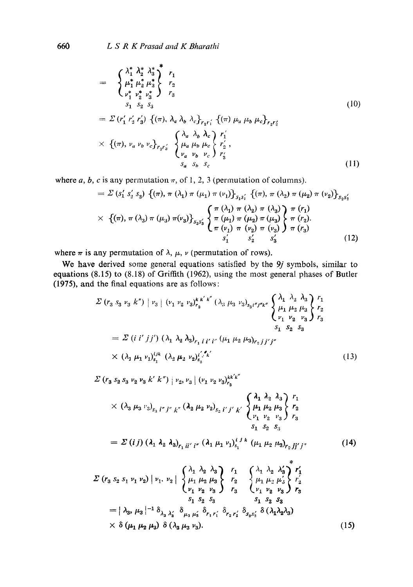660 *L S R K Prasad and K Bharathi* 

$$
= \begin{cases} \lambda_{1}^{*} \lambda_{2}^{*} \lambda_{3}^{*} \\ \mu_{1}^{*} \mu_{2}^{*} \mu_{3}^{*} \\ \nu_{1}^{*} \nu_{2}^{*} \nu_{3}^{*} \end{cases} r_{1} \n= \sum (r_{1}^{\prime} r_{2}^{\prime} r_{3}^{\prime}) \left\{ (\pi), \lambda_{a} \lambda_{b} \lambda_{c} \right\}_{r_{1}r_{1}^{\prime}} \left\{ (\pi) \mu_{a} \mu_{b} \mu_{c} \right\}_{r_{2}r_{2}^{\prime}} \n\times \left\{ (\pi), \nu_{a} \nu_{b} \nu_{c} \right\}_{r_{3}r_{3}^{\prime}} \left\{ \mu_{a} \mu_{b} \mu_{c} \right\}_{r_{2}^{\prime}} \n\times \left\{ (\pi), \nu_{a} \nu_{b} \nu_{c} \right\}_{r_{3}r_{3}^{\prime}} \left\{ \mu_{a} \mu_{b} \mu_{c} \right\}_{r_{2}^{\prime}} \n\times \left\{ (\pi), \nu_{a} \nu_{b} \nu_{c} \right\}_{r_{3}^{\prime}} \n\times s_{a} s_{b} s_{c} \n\t\tag{11}
$$

where  $a, b, c$  is any permutation  $\pi$ , of 1, 2, 3 (permutation of columns).

$$
= \Sigma (s'_1 s'_2 s_3) \{ (\pi), \pi (\lambda_1) \pi (\mu_1) \pi (\nu_1) \}_{s_1 s'_1} \{ (\pi), \pi (\lambda_2) \pi (\mu_2) \pi (\nu_2) \}_{s_2 s'_2}
$$
  
 
$$
\times \{ (\pi), \pi (\lambda_3) \pi (\mu_3) \pi (\nu_3) \}_{s_3 s'_3} \left\{ \begin{matrix} \pi (\lambda_1) \pi (\lambda_2) \pi (\lambda_3) \\ \pi (\mu_1) \pi (\mu_2) \pi (\mu_3) \\ \pi (\nu_1) \pi (\nu_2) \pi (\nu_3) \end{matrix} \right\} \frac{\pi (r_1)}{\pi (r_2)} \right\}
$$
  
\n
$$
s'_1 \quad s'_2 \quad s'_3 \quad (12)
$$

where  $\pi$  is any permutation of  $\lambda$ ,  $\mu$ ,  $\nu$  (permutation of rows).

**We have derived some general equations satisfied by the** *9j* **symbols, similar to equations (8.15) to (8.18) of Griffith (1962), using the most general phases of Butler (1975), and the final equations are as follows:** 

$$
\Sigma (r_3 s_3 \nu_3 k'') | \nu_3 | (\nu_1 \nu_2 \nu_3)_{r_3}^{k k' k''} (\lambda_3 \mu_3 \nu_3)_{s_3 l'' j'' k''} \begin{cases} \lambda_1 \lambda_2 \lambda_3 \\ \mu_1 \mu_2 \mu_3 \\ \nu_1 \nu_2 \nu_3 \end{cases} \begin{cases} r_1 \\ r_2 \\ r_3 \end{cases}
$$
  
=  $\Sigma (i i' j j') (\lambda_1 \lambda_2 \lambda_3)_{r_1 i l' i''} (\mu_1 \mu_2 \mu_3)_{r_2 j j' j''}$   
 $\times (\lambda_1 \mu_1 \nu_1)_{s_1}^{l j k} (\lambda_2 \mu_2 \nu_2)_{s_2}^{l' j' k'}$  (13)

$$
\Sigma (r_3 s_2 s_3 v_2 v_3 k' k'') |v_2, v_3| (v_1 v_2 v_3)_{r_3}^{kk'k''}
$$
\n
$$
\times (\lambda_3 \mu_3 v_3)_{s_3} r'_{j''} k'' ( \lambda_2 \mu_2 v_2)_{s_2} r'_{j'} k' \begin{cases} \lambda_1 \lambda_2 \lambda_3 \\ \mu_1 \mu_2 \mu_3 \\ v_1 v_2 v_3 \end{cases} \begin{cases} r_1 \\ r_2 \\ r_3 \end{cases}
$$
\n
$$
= \Sigma (ij) (\lambda_1 \lambda_2 \lambda_3)_{r_1 ii' i''} (\lambda_1 \mu_1 v_1)_{s_1}^{ijk} (\mu_1 \mu_2 \mu_3)_{r_2 jj' j''}
$$
\n(14)

$$
\Sigma (r_3 s_2 s_1 \nu_1 \nu_2) | \nu_1, \nu_2 | \begin{Bmatrix} \lambda_1 & \lambda_2 & \lambda_3 \\ \mu_1 & \mu_2 & \mu_3 \\ \nu_1 & \nu_2 & \nu_3 \end{Bmatrix} \begin{Bmatrix} r_1 \\ r_2 \\ r_3 \end{Bmatrix} \begin{Bmatrix} \lambda_1 & \lambda_2 & \lambda'_3 \\ \mu_2 & \mu'_3 & \lambda'_3 \\ \nu_1 & \nu_2 & \nu_3 \end{Bmatrix} \begin{Bmatrix} r_1 \\ r_2 \\ r_3 \end{Bmatrix} \begin{Bmatrix} r_1 \\ r_2 \\ r_1 \end{Bmatrix} \begin{Bmatrix} r_1 \\ r_2 \\ r_2 \end{Bmatrix}
$$

$$
= |\lambda_3, \mu_3|^{-1} \delta_{\lambda_3 \lambda'_3} \delta_{\mu_3 \mu'_3} \delta_{r_1 r'_1} \delta_{r_2 r'_2} \delta_{s_3 s'_3} \delta (\lambda_1 \lambda_2 \lambda_3)
$$

$$
\times \delta (\mu_1 \mu_2 \mu_3) \delta (\lambda_3 \mu_3 \nu_3).
$$
(15)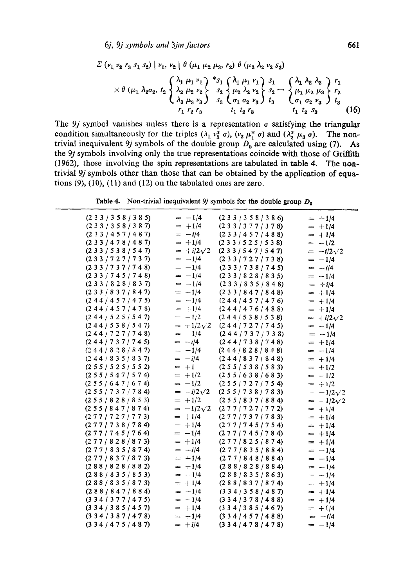6j, 9j symbols and 3jm factors

$$
\Sigma \left( \nu_{1} \nu_{2} r_{3} s_{1} s_{2} \right) \mid \nu_{1}, \nu_{2} \mid \theta \left( \mu_{1} \mu_{2} \mu_{3}, r_{2} \right) \theta \left( \mu_{2} \lambda_{2} \nu_{2} s_{2} \right) \times \theta \left( \mu_{1} \lambda_{2} \sigma_{2}, t_{2} \right) \left\{ \lambda_{1} \mu_{1} \nu_{1} \lambda_{2} \right\}^{*} s_{1} \left\{ \lambda_{1} \mu_{1} \nu_{1} \lambda_{2} \lambda_{2} \right\} s_{1} \left\{ \lambda_{1} \lambda_{2} \lambda_{3} \lambda_{3} \right\} r_{1} \times \theta \left( \mu_{1} \lambda_{2} \sigma_{2}, t_{2} \right) \left\{ \lambda_{2} \mu_{2} \nu_{2} \lambda_{2} \right\}^{*} s_{2} \left\{ \mu_{2} \lambda_{2} \nu_{2} \lambda_{2} \right\} s_{2} = \begin{cases} \lambda_{1} \lambda_{2} \lambda_{3} \lambda_{3} \lambda_{1} r_{1} \lambda_{2} \lambda_{3} \lambda_{3} \lambda_{4} r_{2} \lambda_{4} r_{3} \lambda_{5} r_{4} \lambda_{6} r_{5} \lambda_{7} r_{6} \lambda_{8} r_{7} \lambda_{9} \lambda_{10} r_{10} r_{2} \nu_{3} \lambda_{11} r_{2} \lambda_{12} r_{3} \lambda_{13} r_{11} r_{2} \lambda_{23} \end{cases} r_{1} \left\{ \mu_{1} \mu_{2} \mu_{3} \lambda_{3} \mu_{3} \right\} r_{2} \left\{ \mu_{1} \mu_{2} \mu_{3} \lambda_{3} \mu_{4} \mu_{5} \lambda_{13} r_{4} \lambda_{14} r_{2} \lambda_{23} \mu_{13} \lambda_{14} r_{2} \lambda_{15} \lambda_{16} \lambda_{17} \lambda_{18} r_{2} \lambda_{19} \lambda_{10} \lambda_{10} \lambda_{11} r_{2} \lambda_{10} \lambda_{11} r_{2} \lambda_{12} \lambda_{13} \lambda_{14} \lambda_{15} \lambda_{16} \lambda_{17} \lambda_{18} \lambda_{19} \lambda_{10} \lambda_{11} r_{2} \
$$

The 9j symbol vanishes unless there is a representation  $\sigma$  satisfying the triangular condition simultaneously for the triples  $(\lambda_1 v_3^* \sigma)$ ,  $(v_2 \mu_1^* \sigma)$  and  $(\lambda_2^* \mu_3 \sigma)$ . The non-<br>trivial inequivalent 9*j* symbols of the double group  $D_5$  are calculated using (7). As the 9j symbols involving only the true representations coincide with those of Griffith (1962), those involving the spin representations are tabulated in table 4. The nontrivial 9j symbols other than those that can be obtained by the application of equations  $(9)$ ,  $(10)$ ,  $(11)$  and  $(12)$  on the tabulated ones are zero.

**Table 4.** Non-trivial inequivalent 9*j* symbols for the double group  $D_5$ 

| $(2\;3\;3\;3\;5\;8\;3\;8\;5)$       | $=-1/4$             | (233/358/386)                       | $= +1/4$            |
|-------------------------------------|---------------------|-------------------------------------|---------------------|
| $(2\ 3\ 3\ 7\ 3\ 5\ 8\ 7\ 3\ 8\ 7)$ | $= +1/4$            | (233/377/378)                       | $= +1/4$            |
| $(2\ 3\ 3\ 4\ 5\ 7\ 4\ 8\ 7)$       | $=-i/4$             | (233/457/488)                       | $= +1/4$            |
| (233/478/487)                       | $= +1/4$            | (233/525/538)                       | $= -1/2$            |
| (233/538/547)                       | $=$ +i/2 $\sqrt{2}$ | (233/547/547)                       | $=-i/2\sqrt{2}$     |
| (233/727/737)                       | $= -1/4$            | (233/727/738)                       | $= -1/4$            |
| (233/737/748)                       | $=-1/4$             | (233/738/745)                       | $=-i/4$             |
| $(2\;3\;3\;7\;4\;5\;7\;4\;8)$       | $= -1/4$            | (233/828/835)                       | $= -1/4$            |
| (233/828/837)                       | $=-1/4$             | (233/835/848)                       | $=$ $+i/4$          |
| (233/837/847)                       | $= -1/4$            | (233/847/848)                       | $= +1/4$            |
| (244/457/475)                       | $= -1/4$            | (244/457/476)                       | $=$ +1/4            |
| (244/457/478)                       | $=$ $\div 1/4$      | (244/476/488)                       | $= +1/4$            |
| (244/525/547)                       | $= -1/2$            | (244/538/538)                       | $=$ + $i/2\sqrt{2}$ |
| (244/538/547)                       | $=$ +1/2 $\sqrt{2}$ | (244/727/745)                       | $= -1/4$            |
| (244/727/748)                       | $= -1/4$            | (244/737/738)                       | $= -1/4$            |
| (244/737/745)                       | $= -i/4$            | (244/738/748)                       | $= +1/4$            |
| (244/828/847)                       | $=-1/4$             | (244/828/848)                       | $= -1/4$            |
| (244/835/837)                       | $= -i/4$            | (244/837/848)                       | $= +1/4$            |
| (2 5 5 / 5 2 5 / 5 5 2)             | $= +1$              | $(2\;5\;5\;7\;5\;3\;8\;7\;5\;8\;3)$ | $= +1/2$            |
| (255/547/574)                       | $= +1/2$            | (255/638/683)                       | $=$ $-1/2$          |
| (255/647/674)                       | $=-1/2$             | (255/727/754)                       | $=$ $+1/2$          |
| (255/737/784)                       | $= -i/2\sqrt{2}$    | (255/738/783)                       | $= -1/2\sqrt{2}$    |
| (255/828/853)                       | $= +1/2$            | (255/837/884)                       | $= -1/2\sqrt{2}$    |
| (2 5 5 / 8 4 7 / 8 7 4)             | $=-1/2\sqrt{2}$     | (277/727/772)                       | $= +1/4$            |
| (277/727/773)                       | $= +1/4$            | (277/737/783)                       | $= +1/4$            |
| (277/738/784)                       | $= +1/4$            | (277/745/754)                       | $= +1/4$            |
| (277/745/764)                       | $= -1/4$            | (277/745/784)                       | $= +1/4$            |
| (277/828/873)                       | $= +1/4$            | (277/825/874)                       | $= +1/4$            |
| (277/835/874)                       | $= -i/4$            | (277/835/884)                       | $= -1/4$            |
| (277/837/873)                       | $=$ +1/4            | (277/848/884)                       | $= -1/4$            |
| (288/828/882)                       | $=$ $+1/4$          | (288/828/884)                       | $= +1/4$            |
| (288/835/853)                       | $= +1/4$            | (288/835/863)                       | $= -1/4$            |
| (288/835/873)                       | $= +1/4$            | (288/837/874)                       | $= +1/4$            |
| (288/847/884)                       | $= +1/4$            | $(3\ 3\ 4\ 7\ 3\ 5\ 8\ 7\ 4\ 8\ 7)$ | $= +1/4$            |
| $(3\;3\;4\;3\;7\;7\;4\;7\;5)$       | $= -1/4$            | $(3\ 3\ 4\ 7\ 8\ 7\ 8\ 8)$          | $= +1/4$            |
| $(3\;3\;4\;7\;3\;8\;5\;7\;4\;5\;7)$ | $= +1/4$            | $(3\ 3\ 4\ 7\ 3\ 8\ 5\ 7\ 4\ 6\ 7)$ | $= +1/4$            |
| $(3\;3\;4\;7\;8\;7\;7\;4\;7\;8)$    | $= +1/4$            | (334/457/488)                       | $=-i/4$             |
| (334/475/487)                       | $= +i/4$            | (334/478/478)                       | $=-1/4$             |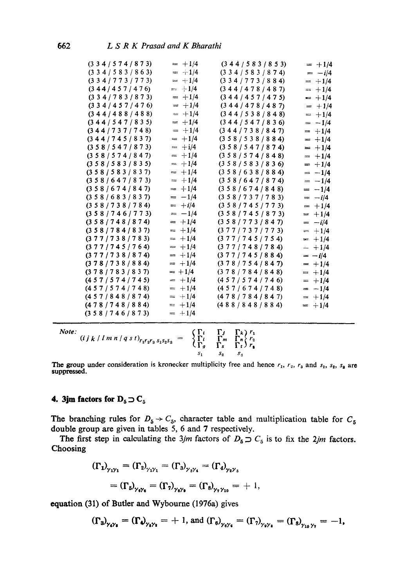| $(3\;3\;4\;7\;5\;7\;4\;7\;8\;7\;3)$                 | $= +1/4$                        | (344/583/853)                        | $= +1/4$ |
|-----------------------------------------------------|---------------------------------|--------------------------------------|----------|
| (334/583/863)                                       | $= +1/4$                        | $(3\ 3\ 4\ 7\ 5\ 8\ 3\ 7\ 8\ 7\ 4)$  | $= -i/4$ |
| (334/773/773)                                       | $= +1/4$                        | (334/773/884)                        | $= +1/4$ |
| (344/457/476)                                       | $= +1/4$                        | (344/478/487)                        | $= +1/4$ |
| $(3\;3\;4\;7\;8\;3\;7\;8\;7\;3)$                    | $= +1/4$                        | (344/457/475)                        | $= +1/4$ |
| (334/457/476)                                       | $= +1/4$                        | (344/478/487)                        | $= +1/4$ |
| (344/488/488)                                       | $= +1/4$                        | (344/538/848)                        | $= +1/4$ |
| (344/547/835)                                       | $= +1/4$                        | (344/547/836)                        | $= -1/4$ |
| (344/737/748)                                       | $= +1/4$                        | (344/738/847)                        | $= +1/4$ |
| (344/745/837)                                       | $= +1/4$                        | (358/538/884)                        | $= +1/4$ |
| (358/547/873)                                       | $=$ +i/4                        | (358/547/874)                        | $= +1/4$ |
| (358/574/847)                                       | $= +1/4$                        | (358/574/848)                        | $= +1/4$ |
| (358/583/835)                                       | $= +1/4$                        | (358/583/836)                        | $= +1/4$ |
| (358/583/837)                                       | $= +1/4$                        | (358/638/884)                        | $= -1/4$ |
| (358/647/873)                                       | $= +1/4$                        | (358/647/874)                        | $= -1/4$ |
| (358/674/847)                                       | $= +1/4$                        | (358/674/848)                        | $= -1/4$ |
| (358/683/837)                                       | $= -1/4$                        | (358/737/783)                        | $= -i/4$ |
| (358/738/784)                                       | $= +i/4$                        | (358/745/773)                        | $= +1/4$ |
| (358/746/773)                                       | $=-1/4$                         | (358/745/873)                        | $= +1/4$ |
| (358/748/874)                                       | $= +1/4$                        | (358/773/847)                        | $= -i/4$ |
| (358/784/837)                                       | $= +1/4$                        | (377/737/773)                        | $= +1/4$ |
| (377/738/783)                                       | $= +1/4$                        | (377/745/754)                        | $= +1/4$ |
| (377/745/764)                                       | $= +1/4$                        | (377/748/784)                        | $- +1/4$ |
| (377/738/874)                                       | $=$ +1/4                        | (377/745/884)                        | $= -i/4$ |
| (378/738/884)                                       | $= +1/4$                        | (378/754/847)                        | $= +1/4$ |
| (378/783/837)                                       | $= +1/4$                        | (378/784/848)                        | $= +1/4$ |
| (457/574/745)                                       | $= +1/4$                        | (457/574/746)                        | $= +1/4$ |
| (457/574/748)                                       | $= +1/4$                        | (457/674/748)                        | $= -1/4$ |
| (457/848/874)                                       | $= +1/4$                        | (478/784/847)                        | $= +1/4$ |
| (478/748/884)                                       | $= +1/4$                        | (488/848/884)                        | $= +1/4$ |
| (358/746/873)                                       | $= +1/4$                        |                                      |          |
| Note:                                               | $\zeta \, \Gamma_t$             | $\Gamma$<br>$\Gamma_k$ ) $r_1$       |          |
| $(i j k / l m n / q s t)_{r_1 r_2 r_3 s_1 s_2 s_3}$ | $\langle \Gamma_t \rangle$<br>≔ | $\Gamma_m$<br>$\Gamma_n \rangle r_2$ |          |
|                                                     | $\mathfrak{c}_{\Gamma g}$       | $\Gamma$ s<br>$\Gamma_t$ ) $r_t$     |          |
|                                                     | $s_{1}$                         | $\boldsymbol{S}_2$<br>$s_{3}$        |          |

The group under consideration is kronecker multiplicity free and hence  $r_1$ ,  $r_2$ ,  $r_3$  and  $s_1$ ,  $s_2$ ,  $s_3$  are suppressed.

## **4. 3jm factors for**  $D_5 \supset C_5$

The branching rules for  $D_5 \rightarrow C_5$ , character table and multiplication table for  $C_5$ double group are given in tables 5, 6 and 7 respectively.

The first step in calculating the 3jm factors of  $D_5 \supset C_5$  is to fix the 2jm factors. Choosing

$$
\begin{aligned} (\Gamma_1)_{\gamma_1\gamma_1} &= (\Gamma_2)_{\gamma_1\gamma_1} = (\Gamma_3)_{\gamma_3\gamma_4} = (\Gamma_4)_{\gamma_2\gamma_5} \\ &= (\Gamma_5)_{\gamma_6\gamma_6} = (\Gamma_7)_{\gamma_8\gamma_9} = (\Gamma_8)_{\gamma_7\gamma_{10}} = +1, \end{aligned}
$$

equation (31) of Butler and Wybourne (1976a) gives

$$
(\Gamma_3)_{\gamma_4\gamma_5} = (\Gamma_4)_{\gamma_5\gamma_5} = +1, \text{ and } (\Gamma_6)_{\gamma_6\gamma_6} = (\Gamma_7)_{\gamma_6\gamma_5} = (\Gamma_8)_{\gamma_{10}\gamma_7} = -1,
$$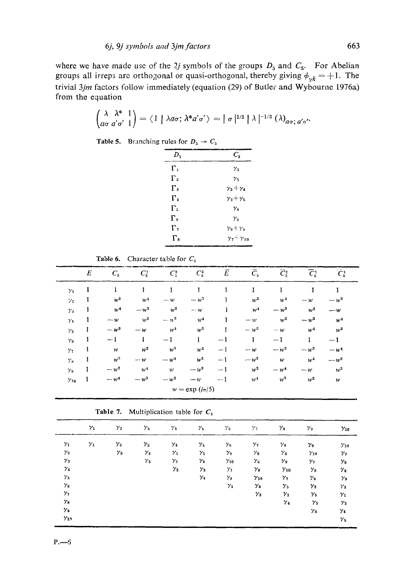where we have made use of the 2j symbols of the groups  $D_5$  and  $C_5$ . For Abelian groups all irreps are orthogonal or quasi-orthogonal, thereby giving  $\phi_{\gamma k} = +1$ . The trivial 3jm factors follow immediately (equation (29) of Butler and Wybourne 1976a) from the equation

$$
\begin{pmatrix} \lambda & \lambda^* & 1 \\ a\sigma & a'\sigma' & 1 \end{pmatrix} = \langle 1 | \lambda a\sigma; \lambda^* a'\sigma' \rangle = |\sigma|^{1/2} |\lambda|^{-1/2} (\lambda)_{a\sigma; a'\sigma'}
$$

Table 5. Branching rules for  $D_5 \rightarrow C_5$ 

| D,                | $C_{\rm s}$                                       |
|-------------------|---------------------------------------------------|
| г.                | $\gamma_1$                                        |
| $\Gamma_{2}$      | $\gamma_1$                                        |
| $\Gamma_{3}$      | $\gamma_3+\gamma_4$                               |
| $\Gamma_{4}$      | $\gamma_2 + \gamma_5$                             |
| Г.                | $\gamma_{\scriptscriptstyle\mathsf{R}}$           |
| $\Gamma_{\kappa}$ | $\gamma_{\alpha}$                                 |
| $\Gamma$          | $\gamma_8 + \gamma_9$                             |
| $\Gamma_{\rm s}$  | $\gamma$ <sub>2</sub> $\div \gamma$ <sub>10</sub> |
|                   |                                                   |

Table 6. Character table for  $C_5$ 

|                | $\boldsymbol{E}$ | $C_{5}$         | $C_5^2$           | $C_5^3$        | $C_5^4$            | Ē    | $C_{5}$        | $C_5^2$        | $\overline{\mathcal{C}}_5^3$ | - -<br>$C_5^1$ |  |
|----------------|------------------|-----------------|-------------------|----------------|--------------------|------|----------------|----------------|------------------------------|----------------|--|
| $\gamma_1$     | 1                | 1               | 1                 | 1              | 1                  | 1    | $\mathbf{1}$   | $\mathbf{1}$   | 1                            | 1              |  |
| 7 <sub>2</sub> | 1                | $w^2$           | w <sup>1</sup>    | $-\mathbf{w}$  | $-w^3$             |      | $w^2$          | w <sup>4</sup> | $-w$                         | $-w^3$         |  |
| $\gamma_3$     | 1                | w <sup>4</sup>  | $-w^3$            | $w^2$          | $-\boldsymbol{w}$  | 1    | w <sup>4</sup> | $-w^3$         | $w^2$                        | $-w$           |  |
| $\gamma_4$     | 1                | $-w$            | $w^2$             | $- w^3$        | w <sup>4</sup>     | 1    | $-\nu$         | $w^2$          | $-\mathbf{w}^3$              | w <sup>4</sup> |  |
| $\gamma_5$     | 1                | $-\mathbf{w}^3$ | $-\boldsymbol{w}$ | w <sup>4</sup> | $w^2$              | 1    | $-w^3$         | $-\mathbf{w}$  | w <sup>4</sup>               | $w^2$          |  |
| $\gamma_6$     | 1                | $-1$            | 1                 | $-1$           | 1                  | $-1$ | $\mathbf{1}$   | $-1$           | 1                            | $-1$           |  |
| $\gamma$       | 1                | ${\cal W}$      | $w^2$             | $w^3$          | w <sup>4</sup>     | $-1$ | $-w$           | $-w^2$         | $-\mu^3$                     | $-W4$          |  |
| $\gamma_3$     | $\mathbf{1}$     | $w^3$           | $-\boldsymbol{w}$ | $-w4$          | $w^2$              | $-1$ | $-\omega^3$    | w              | $w^4$                        | $-w^2$         |  |
| $\gamma_{9}$   | $\mathbf{1}$     | $-w^2$          | $W^4$             | w              | $-w^3$             | $-1$ | $w^2$          | $-w4$          | $-\mathbf{w}$                | $w^3$          |  |
| $\gamma_{10}$  | $\mathbf{1}$     | $-w^4$          | $-w^3$            | $-w^2$         | $-w$               | $-1$ | w <sup>4</sup> | $w^3$          | $w^2$                        | w              |  |
|                |                  |                 |                   |                | $w = \exp(i\pi/5)$ |      |                |                |                              |                |  |

|  | <b>Table 7.</b> Multiplication table for $C_5$ |  |  |
|--|------------------------------------------------|--|--|
|  |                                                |  |  |

|               | $\gamma_1$ | $\gamma_2$              | $\gamma_3$       | $\gamma_{4}$ | $\gamma_{5}$ | $\gamma_6$    | $\gamma_{7}$  | $\gamma_8$    | $\gamma_9$                      | $\gamma_{10}$                    |
|---------------|------------|-------------------------|------------------|--------------|--------------|---------------|---------------|---------------|---------------------------------|----------------------------------|
| $\gamma_1$    | $\gamma_1$ | $\boldsymbol{\gamma}_2$ | $\gamma_3$       | $\gamma_4$   | $\gamma_5$   | $\gamma_{6}$  | ${\gamma}_7$  | $\gamma_8$    | $\gamma_9$                      | $\gamma_{10}$                    |
| $\gamma_2$    |            | $\gamma_3$              | $\gamma_{\perp}$ | $\gamma_5$   | $\gamma_1$   | $\gamma_9$    | $\gamma_8$    | $\gamma_{s}$  | $\gamma_{10}$                   | $\gamma_7$                       |
| $\gamma_3$    |            |                         | $\gamma_5$       | $\gamma_1$   | $\gamma_2$   | $\gamma_{10}$ | $\gamma_6$    | $\gamma_9$    | $\gamma_{7}$                    | $\gamma_3$                       |
| $\gamma_4$    |            |                         |                  | $\gamma_2$   | $\gamma_3$   | $\gamma_{7}$  | $\gamma_9$    | $\gamma_{10}$ | $\gamma_8$                      | $\gamma_{\scriptscriptstyle{6}}$ |
| $\gamma_5$    |            |                         |                  |              | $\gamma_4$   | $\gamma_8$    | $\gamma_{10}$ | $\gamma_{7}$  | $\gamma_{\scriptscriptstyle 6}$ | $\gamma_9$                       |
| $\gamma_6$    |            |                         |                  |              |              | $\gamma_1$    | $\gamma_4$    | $\gamma_{5}$  | $\boldsymbol{\gamma_2}$         | $\gamma_3$                       |
| $\gamma_7$    |            |                         |                  |              |              |               | $\gamma_2$    | $\gamma_3$    | $\gamma_5$                      | $\gamma_1$                       |
| $\gamma_8$    |            |                         |                  |              |              |               |               | $\gamma_4$    | $\gamma_1$                      | $\boldsymbol{\gamma}_2$          |
| $\gamma_{9}$  |            |                         |                  |              |              |               |               |               | $\gamma_3$                      | $\gamma_4$                       |
| $\gamma_{12}$ |            |                         |                  |              |              |               |               |               |                                 | $\gamma_{5}$                     |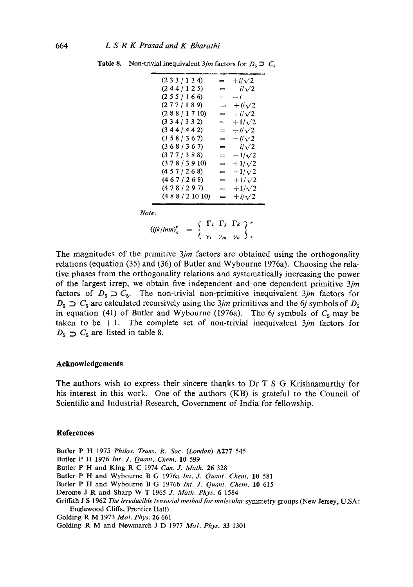| $(2\;3\;3\;1\;1\;3\;4)$ | = | $+i/\sqrt{2}$ |
|-------------------------|---|---------------|
| (244/125)               | ᆖ | $-i/\sqrt{2}$ |
| (255/166)               |   | $-i$          |
| (277/189)               | = | $+i/\sqrt{2}$ |
| (288/1710)              | = | $+i/\sqrt{2}$ |
| $(3\;3\;4\;3\;3\;2)$    | = | $+1/\sqrt{2}$ |
| (344/442)               | = | $+i/\sqrt{2}$ |
| (358/367)               | ≕ | $-i/\sqrt{2}$ |
| (368/367)               | ≕ | $-i/\sqrt{2}$ |
| (377/388)               | ᆖ | $+1/\sqrt{2}$ |
| (378/3910)              | = | $+1/\sqrt{2}$ |
| (457/268)               | ᆖ | $+1/\sqrt{2}$ |
| (467/268)               | = | $+1/\sqrt{2}$ |
| (478/297)               | ≕ | $+1/\sqrt{2}$ |
| (488/21010)             | = | $+i/\sqrt{2}$ |
|                         |   |               |

**Table 8.** Non-trivial inequivalent *3jm* factors for  $D_5 \supset C_5$ 

*Note:* 

 $\left(\frac{ijk}{lmn}\right)_{s}^{r} = \left\{\begin{array}{cc} 1 & i & 1 & j & 1 & k \\ j & & & & \end{array}\right\}^{r}$ 

The magnitudes of the primitive *3jm* factors are obtained using the orthogonality relations (equation (35) and (36) of Butler and Wybourne 1976a). Choosing the relative phases from the orthogonality relations and systematically increasing the power of the largest irrep, we obtain five independent and one dependent primitive *3jrn*  factors of  $D_5 \supset C_5$ . The non-trivial non-primitive inequivalent 3*jm* factors for  $D_5 \supset C_5$  are calculated recursively using the 3jm primitives and the 6j symbols of  $D_5$ in equation (41) of Butler and Wybourne (1976a). The 6*j* symbols of  $C_5$  may be taken to be  $+1$ . The complete set of non-trivial inequivalent  $3jm$  factors for  $D_5 \supset C_5$  are listed in table 8.

## **Acknowledgements**

The authors wish to express their sincere thanks to Dr T S G Krishnamurthy for his interest in this work. One of the authors (KB) is grateful to the Council of Scientific and Industrial Research, Government of India for fellowship.

#### **References**

Butler P H 1975 *Philos. Trans. R. Soc. (London)* A277 545

- Butler P H 1976 *lnt. J. Quant. Chem.* 10 599
- Butler P H and *King* R C 1974 *Can. J. Math.* 26 328
- Butler P H and Wybourne B G 1976a *Int. J. Quant. Chem.* 10 581
- Butler P H and Wybourne B G 1976b *Int. J. Quant. Chem.* 10 615
- Derome J R and Sharp W T 1965 *J. Math. Phys.* 6 1584
- Griffith J S 1962 *The irreducible tensorial method for molecular* symmetry groups (New Jersey, U.SA: Englewood Cliffs, Prentice Hall)
- Golding R M 1973 *Mol. Phys.* 26 661
- Golding R M and Newmarch J D 1977 *Mol. Phys.* 33 1301